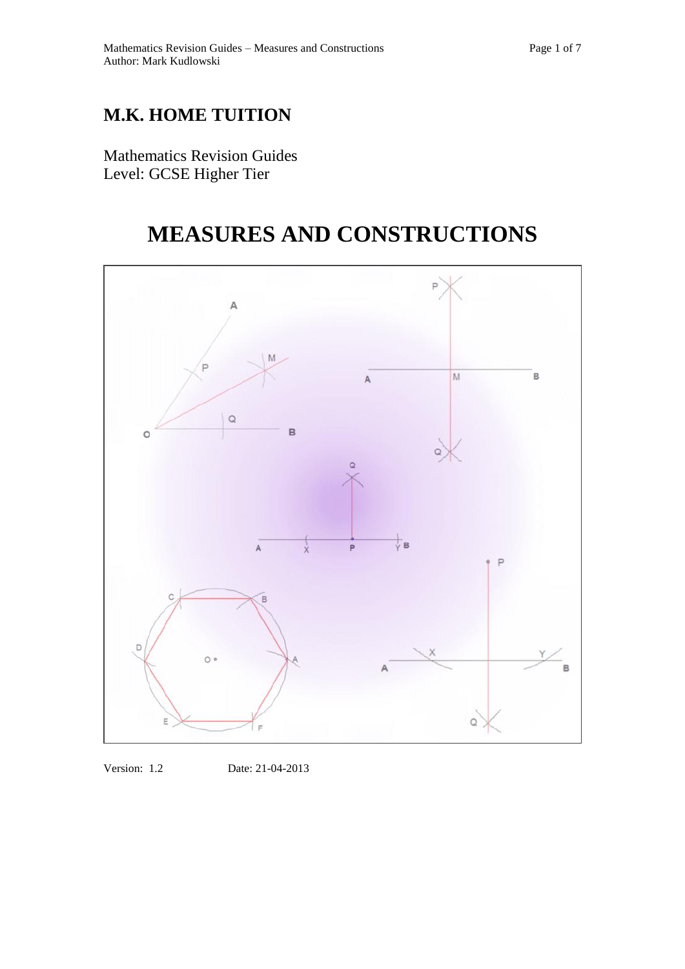## **M.K. HOME TUITION**

Mathematics Revision Guides Level: GCSE Higher Tier

# **MEASURES AND CONSTRUCTIONS**



Version: 1.2 Date: 21-04-2013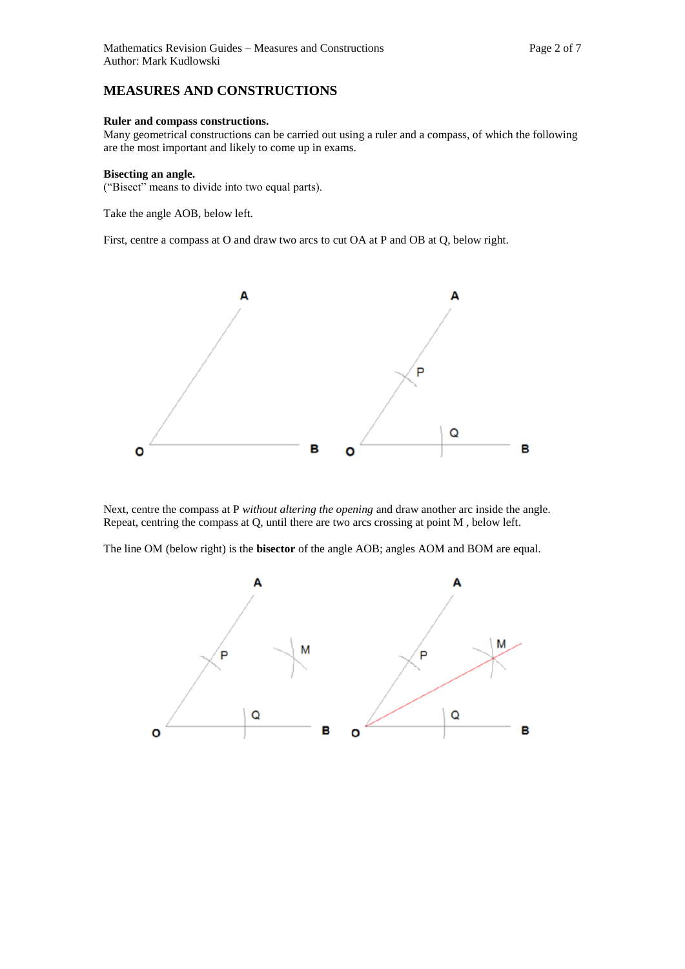### **MEASURES AND CONSTRUCTIONS**

#### **Ruler and compass constructions.**

Many geometrical constructions can be carried out using a ruler and a compass, of which the following are the most important and likely to come up in exams.

#### **Bisecting an angle.**

("Bisect" means to divide into two equal parts).

Take the angle AOB, below left.

First, centre a compass at O and draw two arcs to cut OA at P and OB at Q, below right.



Next, centre the compass at P *without altering the opening* and draw another arc inside the angle. Repeat, centring the compass at Q, until there are two arcs crossing at point M , below left.

The line OM (below right) is the **bisector** of the angle AOB; angles AOM and BOM are equal.

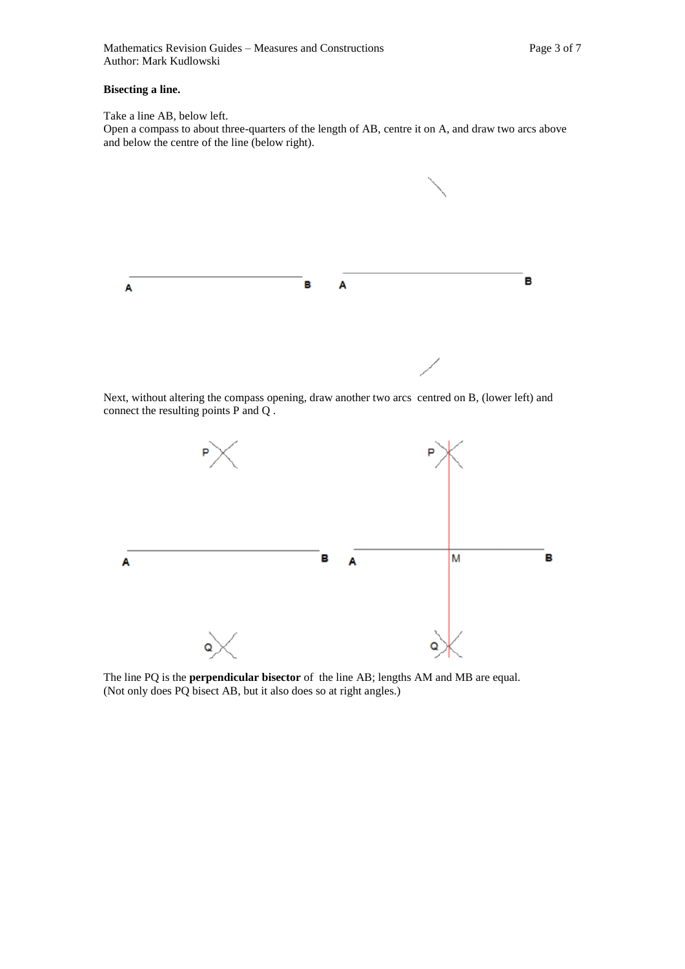#### **Bisecting a line.**

Take a line AB, below left. Open a compass to about three-quarters of the length of AB, centre it on A, and draw two arcs above and below the centre of the line (below right).



Next, without altering the compass opening, draw another two arcs centred on B, (lower left) and connect the resulting points P and Q .



The line PQ is the **perpendicular bisector** of the line AB; lengths AM and MB are equal. (Not only does PQ bisect AB, but it also does so at right angles.)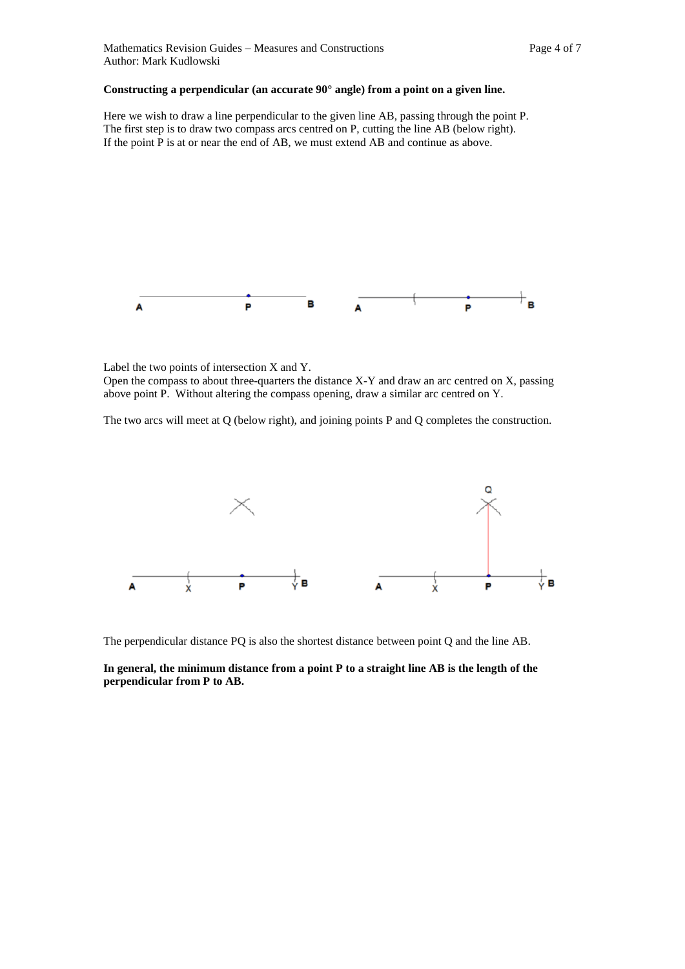#### **Constructing a perpendicular (an accurate 90° angle) from a point on a given line.**

Here we wish to draw a line perpendicular to the given line AB, passing through the point P. The first step is to draw two compass arcs centred on P, cutting the line AB (below right). If the point P is at or near the end of AB, we must extend AB and continue as above.



Label the two points of intersection X and Y. Open the compass to about three-quarters the distance X-Y and draw an arc centred on X, passing above point P. Without altering the compass opening, draw a similar arc centred on Y.

The two arcs will meet at Q (below right), and joining points P and Q completes the construction.



The perpendicular distance PQ is also the shortest distance between point Q and the line AB.

#### **In general, the minimum distance from a point P to a straight line AB is the length of the perpendicular from P to AB.**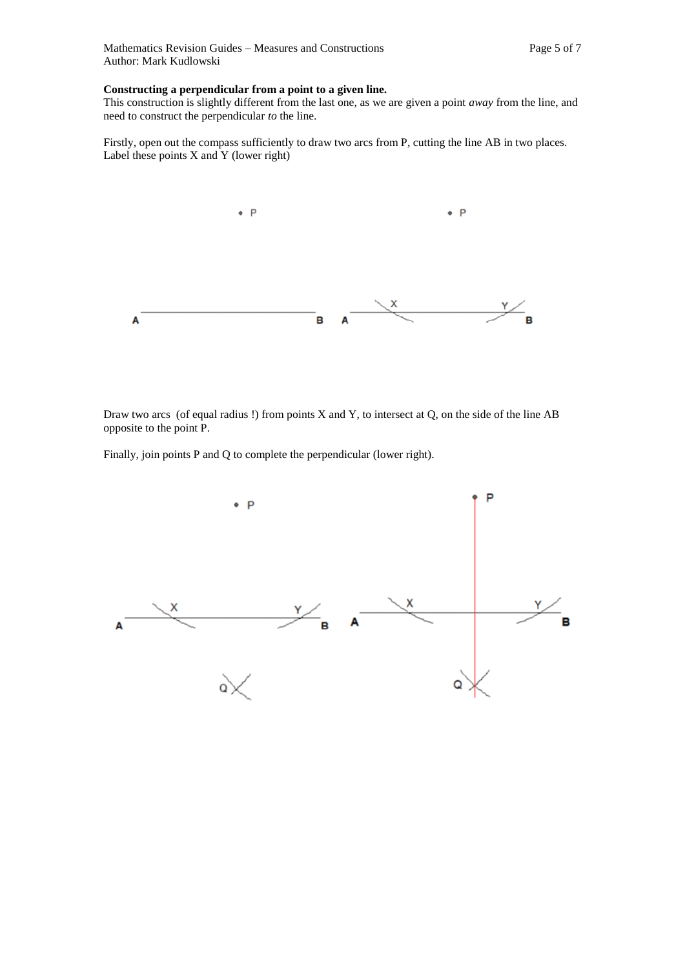#### **Constructing a perpendicular from a point to a given line.**

This construction is slightly different from the last one, as we are given a point *away* from the line, and need to construct the perpendicular *to* the line.

Firstly, open out the compass sufficiently to draw two arcs from P, cutting the line AB in two places. Label these points X and Y (lower right)



Draw two arcs (of equal radius !) from points X and Y, to intersect at Q, on the side of the line AB opposite to the point P.

Finally, join points P and Q to complete the perpendicular (lower right).

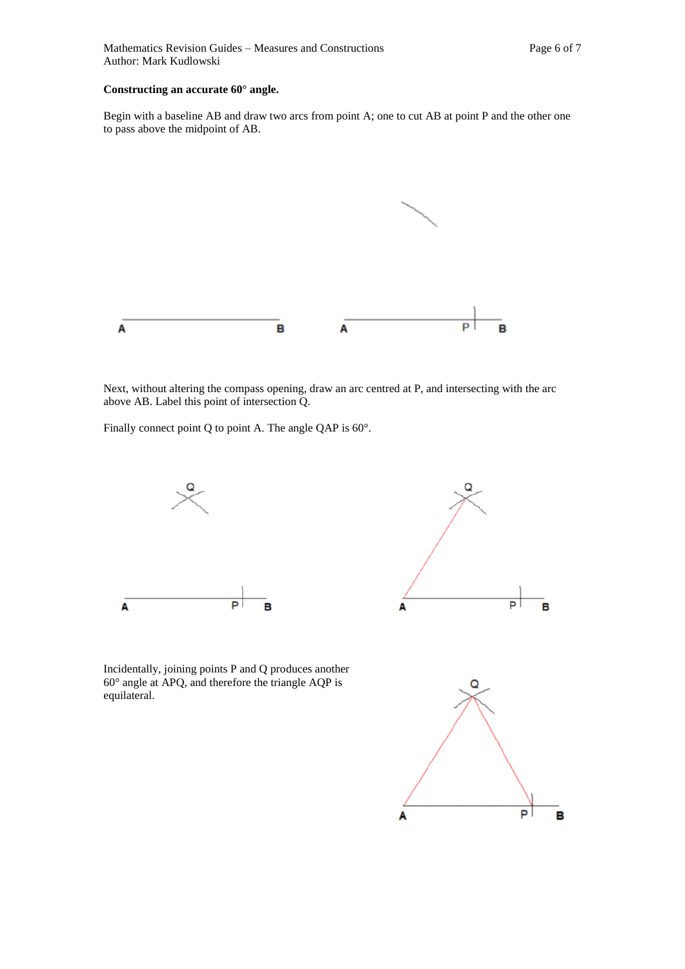#### **Constructing an accurate 60° angle.**

Begin with a baseline AB and draw two arcs from point A; one to cut AB at point P and the other one to pass above the midpoint of AB.



Next, without altering the compass opening, draw an arc centred at P, and intersecting with the arc above AB. Label this point of intersection Q.

Finally connect point Q to point A. The angle QAP is 60°.